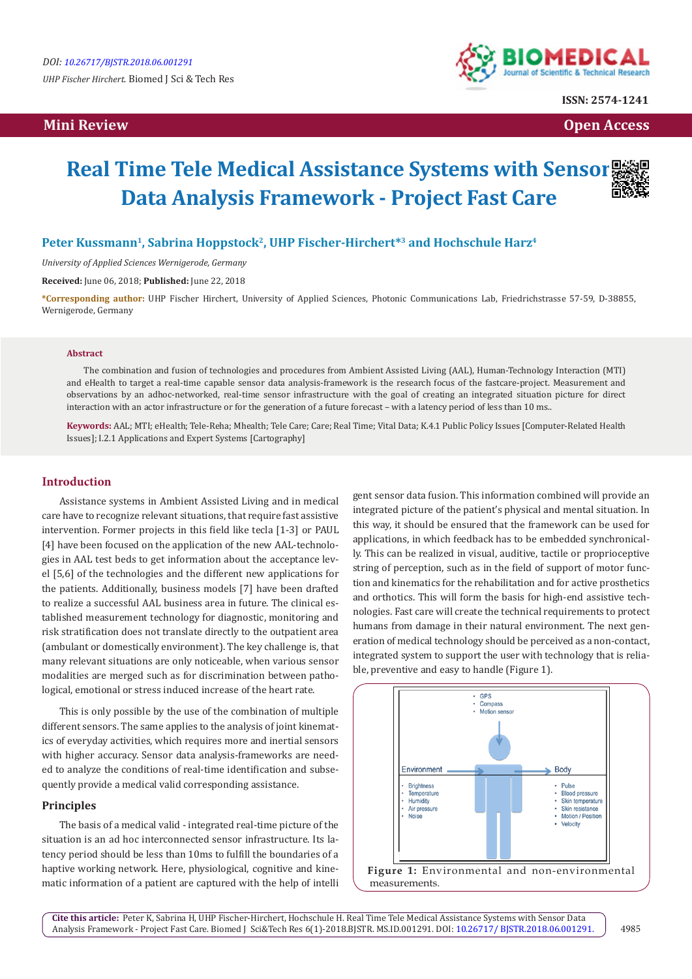

**ISSN: 2574-1241**

 **Mini Review Open Access** 

# **Real Time Tele Medical Assistance Systems with Sensor Data Analysis Framework - Project Fast Care**



## Peter Kussmann<sup>1</sup>, Sabrina Hoppstock<sup>2</sup>, UHP Fischer-Hirchert<sup>\*3</sup> and Hochschule Harz<sup>4</sup>

*University of Applied Sciences Wernigerode, Germany*

**Received:** June 06, 2018; **Published:** June 22, 2018

**\*Corresponding author:** UHP Fischer Hirchert, University of Applied Sciences, Photonic Communications Lab, Friedrichstrasse 57-59, D-38855, Wernigerode, Germany

#### **Abstract**

The combination and fusion of technologies and procedures from Ambient Assisted Living (AAL), Human-Technology Interaction (MTI) and eHealth to target a real-time capable sensor data analysis-framework is the research focus of the fastcare-project. Measurement and observations by an adhoc-networked, real-time sensor infrastructure with the goal of creating an integrated situation picture for direct interaction with an actor infrastructure or for the generation of a future forecast – with a latency period of less than 10 ms..

**Keywords:** AAL; MTI; eHealth; Tele-Reha; Mhealth; Tele Care; Care; Real Time; Vital Data; K.4.1 Public Policy Issues [Computer-Related Health Issues]; I.2.1 Applications and Expert Systems [Cartography]

### **Introduction**

Assistance systems in Ambient Assisted Living and in medical care have to recognize relevant situations, that require fast assistive intervention. Former projects in this field like tecla [1-3] or PAUL [4] have been focused on the application of the new AAL-technologies in AAL test beds to get information about the acceptance level [5,6] of the technologies and the different new applications for the patients. Additionally, business models [7] have been drafted to realize a successful AAL business area in future. The clinical established measurement technology for diagnostic, monitoring and risk stratification does not translate directly to the outpatient area (ambulant or domestically environment). The key challenge is, that many relevant situations are only noticeable, when various sensor modalities are merged such as for discrimination between pathological, emotional or stress induced increase of the heart rate.

This is only possible by the use of the combination of multiple different sensors. The same applies to the analysis of joint kinematics of everyday activities, which requires more and inertial sensors with higher accuracy. Sensor data analysis-frameworks are needed to analyze the conditions of real-time identification and subsequently provide a medical valid corresponding assistance.

#### **Principles**

The basis of a medical valid - integrated real-time picture of the situation is an ad hoc interconnected sensor infrastructure. Its latency period should be less than 10ms to fulfill the boundaries of a haptive working network. Here, physiological, cognitive and kinematic information of a patient are captured with the help of intelli

gent sensor data fusion. This information combined will provide an integrated picture of the patient's physical and mental situation. In this way, it should be ensured that the framework can be used for applications, in which feedback has to be embedded synchronically. This can be realized in visual, auditive, tactile or proprioceptive string of perception, such as in the field of support of motor function and kinematics for the rehabilitation and for active prosthetics and orthotics. This will form the basis for high-end assistive technologies. Fast care will create the technical requirements to protect humans from damage in their natural environment. The next generation of medical technology should be perceived as a non-contact, integrated system to support the user with technology that is reliable, preventive and easy to handle (Figure 1).

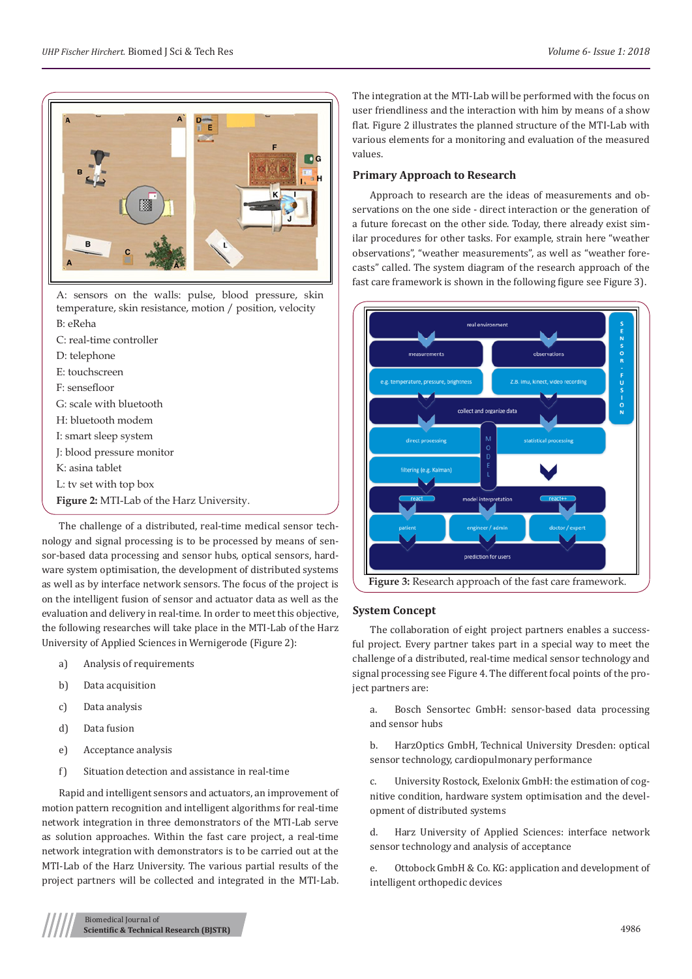

A: sensors on the walls: pulse, blood pressure, skin temperature, skin resistance, motion / position, velocity B: eReha C: real-time controller D: telephone

E: touchscreen

F: sensefloor

- G: scale with bluetooth
- H: bluetooth modem

I: smart sleep system

J: blood pressure monitor

K: asina tablet

L: tv set with top box

**Figure 2:** MTI-Lab of the Harz University.

The challenge of a distributed, real-time medical sensor technology and signal processing is to be processed by means of sensor-based data processing and sensor hubs, optical sensors, hardware system optimisation, the development of distributed systems as well as by interface network sensors. The focus of the project is on the intelligent fusion of sensor and actuator data as well as the evaluation and delivery in real-time. In order to meet this objective, the following researches will take place in the MTI-Lab of the Harz University of Applied Sciences in Wernigerode (Figure 2):

- a) Analysis of requirements
- b) Data acquisition
- c) Data analysis
- d) Data fusion
- e) Acceptance analysis
- f) Situation detection and assistance in real-time

Rapid and intelligent sensors and actuators, an improvement of motion pattern recognition and intelligent algorithms for real-time network integration in three demonstrators of the MTI-Lab serve as solution approaches. Within the fast care project, a real-time network integration with demonstrators is to be carried out at the MTI-Lab of the Harz University. The various partial results of the project partners will be collected and integrated in the MTI-Lab.

The integration at the MTI-Lab will be performed with the focus on user friendliness and the interaction with him by means of a show flat. Figure 2 illustrates the planned structure of the MTI-Lab with various elements for a monitoring and evaluation of the measured values.

#### **Primary Approach to Research**

Approach to research are the ideas of measurements and observations on the one side - direct interaction or the generation of a future forecast on the other side. Today, there already exist similar procedures for other tasks. For example, strain here "weather observations", "weather measurements", as well as "weather forecasts" called. The system diagram of the research approach of the fast care framework is shown in the following figure see Figure 3).



#### **System Concept**

The collaboration of eight project partners enables a successful project. Every partner takes part in a special way to meet the challenge of a distributed, real-time medical sensor technology and signal processing see Figure 4. The different focal points of the project partners are:

a. Bosch Sensortec GmbH: sensor-based data processing and sensor hubs

b. HarzOptics GmbH, Technical University Dresden: optical sensor technology, cardiopulmonary performance

c. University Rostock, Exelonix GmbH: the estimation of cognitive condition, hardware system optimisation and the development of distributed systems

d. Harz University of Applied Sciences: interface network sensor technology and analysis of acceptance

e. Ottobock GmbH & Co. KG: application and development of intelligent orthopedic devices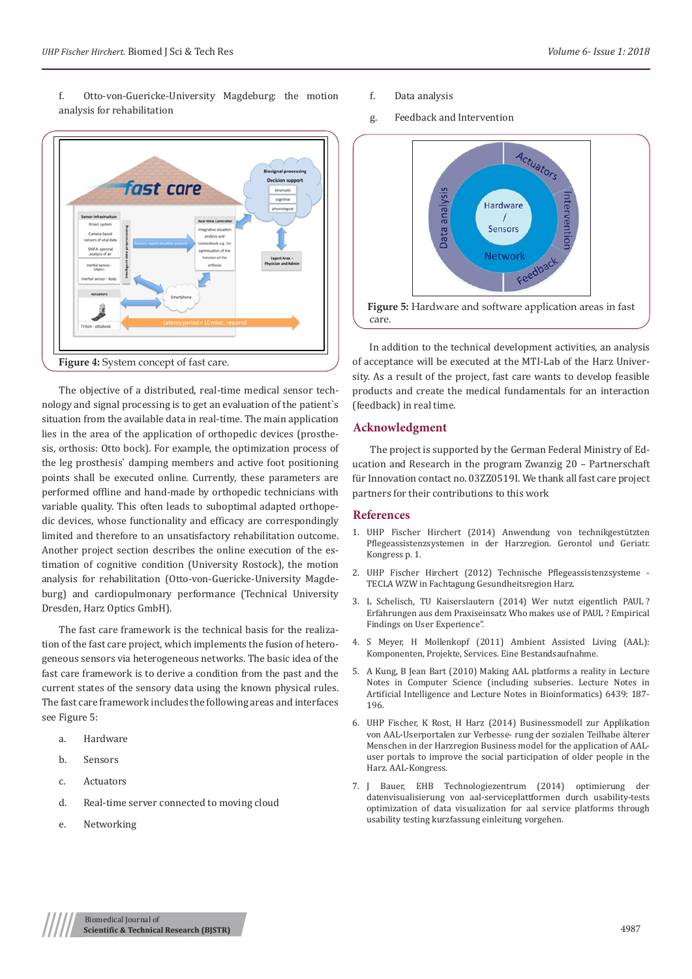f. Otto-von-Guericke-University Magdeburg: the motion analysis for rehabilitation



The objective of a distributed, real-time medical sensor technology and signal processing is to get an evaluation of the patient`s situation from the available data in real-time. The main application lies in the area of the application of orthopedic devices (prosthesis, orthosis: Otto bock). For example, the optimization process of the leg prosthesis` damping members and active foot positioning points shall be executed online. Currently, these parameters are performed offline and hand-made by orthopedic technicians with variable quality. This often leads to suboptimal adapted orthopedic devices, whose functionality and efficacy are correspondingly limited and therefore to an unsatisfactory rehabilitation outcome. Another project section describes the online execution of the estimation of cognitive condition (University Rostock), the motion analysis for rehabilitation (Otto-von-Guericke-University Magdeburg) and cardiopulmonary performance (Technical University Dresden, Harz Optics GmbH).

The fast care framework is the technical basis for the realization of the fast care project, which implements the fusion of heterogeneous sensors via heterogeneous networks. The basic idea of the fast care framework is to derive a condition from the past and the current states of the sensory data using the known physical rules. The fast care framework includes the following areas and interfaces see Figure 5:

- a. Hardware
- b. Sensors
- c. Actuators
- d. Real-time server connected to moving cloud
- e. Networking
- f. Data analysis
- g. Feedback and Intervention



 In addition to the technical development activities, an analysis of acceptance will be executed at the MTI-Lab of the Harz University. As a result of the project, fast care wants to develop feasible products and create the medical fundamentals for an interaction (feedback) in real time.

### **Acknowledgment**

The project is supported by the German Federal Ministry of Education and Research in the program Zwanzig 20 – Partnerschaft für Innovation contact no. 03ZZ0519I. We thank all fast care project partners for their contributions to this work

#### **References**

- 1. UHP Fischer Hirchert (2014) Anwendung von technikgestützten Pflegeassistenzsystemen in der Harzregion. Gerontol und Geriatr. Kongress p. 1.
- 2. UHP Fischer Hirchert (2012) Technische Pflegeassistenzsysteme TECLA WZW in Fachtagung Gesundheitsregion Harz.
- 3. L Schelisch, TU Kaiserslautern (2014) Wer nutzt eigentlich PAUL ? Erfahrungen aus dem Praxiseinsatz Who makes use of PAUL ? Empirical Findings on User Experience".
- 4. S Meyer, H Mollenkopf (2011) Ambient Assisted Living (AAL): Komponenten, Projekte, Services. Eine Bestandsaufnahme.
- 5. [A Kung, B Jean Bart \(2010\) Making AAL platforms a reality in Lecture](https://link.springer.com/chapter/10.1007/978-3-642-16917-5_19) [Notes in Computer Science \(including subseries. Lecture Notes in](https://link.springer.com/chapter/10.1007/978-3-642-16917-5_19) [Artificial Intelligence and Lecture Notes in Bioinformatics\) 6439: 187-](https://link.springer.com/chapter/10.1007/978-3-642-16917-5_19) [196.](https://link.springer.com/chapter/10.1007/978-3-642-16917-5_19)
- 6. UHP Fischer, K Rost, H Harz (2014) Businessmodell zur Applikation von AAL-Userportalen zur Verbesse- rung der sozialen Teilhabe älterer Menschen in der Harzregion Business model for the application of AALuser portals to improve the social participation of older people in the Harz. AAL-Kongress.
- 7. J Bauer, EHB Technologiezentrum (2014) optimierung der datenvisualisierung von aal-serviceplattformen durch usability-tests optimization of data visualization for aal service platforms through usability testing kurzfassung einleitung vorgehen.